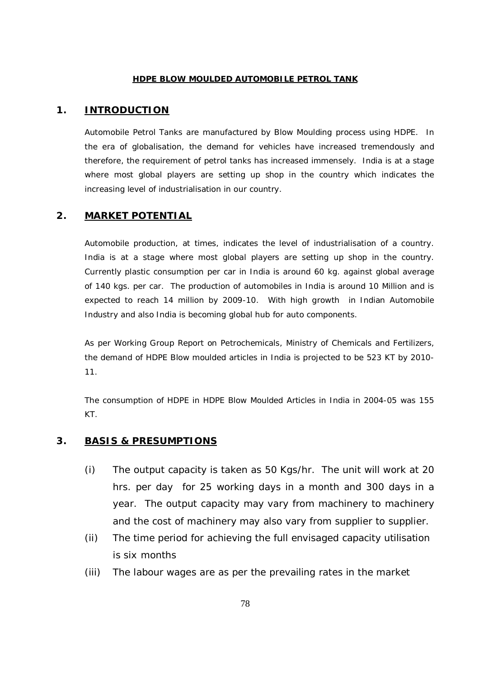#### **HDPE BLOW MOULDED AUTOMOBILE PETROL TANK**

#### **1. INTRODUCTION**

Automobile Petrol Tanks are manufactured by Blow Moulding process using HDPE. In the era of globalisation, the demand for vehicles have increased tremendously and therefore, the requirement of petrol tanks has increased immensely. India is at a stage where most global players are setting up shop in the country which indicates the increasing level of industrialisation in our country.

# **2. MARKET POTENTIAL**

Automobile production, at times, indicates the level of industrialisation of a country. India is at a stage where most global players are setting up shop in the country. Currently plastic consumption per car in India is around 60 kg. against global average of 140 kgs. per car. The production of automobiles in India is around 10 Million and is expected to reach 14 million by 2009-10. With high growth in Indian Automobile Industry and also India is becoming global hub for auto components.

As per Working Group Report on Petrochemicals, Ministry of Chemicals and Fertilizers, the demand of HDPE Blow moulded articles in India is projected to be 523 KT by 2010- 11.

The consumption of HDPE in HDPE Blow Moulded Articles in India in 2004-05 was 155 KT.

#### **3. BASIS & PRESUMPTIONS**

- (i) The output capacity is taken as 50 Kgs/hr. The unit will work at 20 hrs. per day for 25 working days in a month and 300 days in a year. The output capacity may vary from machinery to machinery and the cost of machinery may also vary from supplier to supplier.
- (ii) The time period for achieving the full envisaged capacity utilisation is six months
- (iii) The labour wages are as per the prevailing rates in the market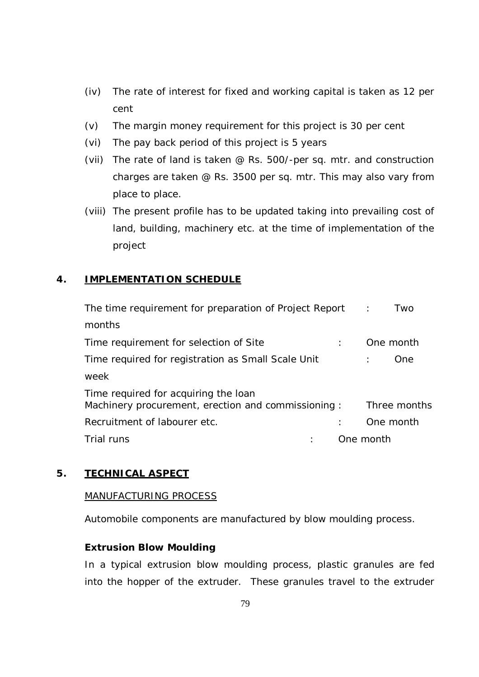- (iv) The rate of interest for fixed and working capital is taken as 12 per cent
- (v) The margin money requirement for this project is 30 per cent
- (vi) The pay back period of this project is 5 years
- (vii) The rate of land is taken @ Rs. 500/-per sq. mtr. and construction charges are taken @ Rs. 3500 per sq. mtr. This may also vary from place to place.
- (viii) The present profile has to be updated taking into prevailing cost of land, building, machinery etc. at the time of implementation of the project

# **4. IMPLEMENTATION SCHEDULE**

| The time requirement for preparation of Project Report :                                   | Two          |
|--------------------------------------------------------------------------------------------|--------------|
| months                                                                                     |              |
| Time requirement for selection of Site                                                     | One month    |
| Time required for registration as Small Scale Unit                                         | One.         |
| week                                                                                       |              |
| Time required for acquiring the loan<br>Machinery procurement, erection and commissioning: | Three months |
| Recruitment of labourer etc.                                                               | One month    |
| Trial runs                                                                                 | One month    |

# **5. TECHNICAL ASPECT**

## MANUFACTURING PROCESS

Automobile components are manufactured by blow moulding process.

## **Extrusion Blow Moulding**

In a typical extrusion blow moulding process, plastic granules are fed into the hopper of the extruder. These granules travel to the extruder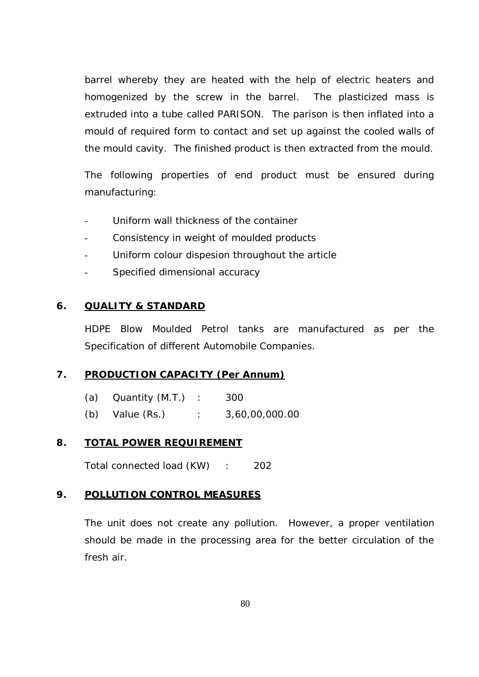barrel whereby they are heated with the help of electric heaters and homogenized by the screw in the barrel. The plasticized mass is extruded into a tube called PARISON. The parison is then inflated into a mould of required form to contact and set up against the cooled walls of the mould cavity. The finished product is then extracted from the mould.

The following properties of end product must be ensured during manufacturing:

- Uniform wall thickness of the container
- Consistency in weight of moulded products
- Uniform colour dispesion throughout the article
- Specified dimensional accuracy

# **6. QUALITY & STANDARD**

HDPE Blow Moulded Petrol tanks are manufactured as per the Specification of different Automobile Companies.

# **7. PRODUCTION CAPACITY (Per Annum)**

(a) Quantity (M.T.) : 300 (b) Value (Rs.) : 3,60,00,000.00

## **8. TOTAL POWER REQUIREMENT**

Total connected load (KW) : 202

## **9. POLLUTION CONTROL MEASURES**

The unit does not create any pollution. However, a proper ventilation should be made in the processing area for the better circulation of the fresh air.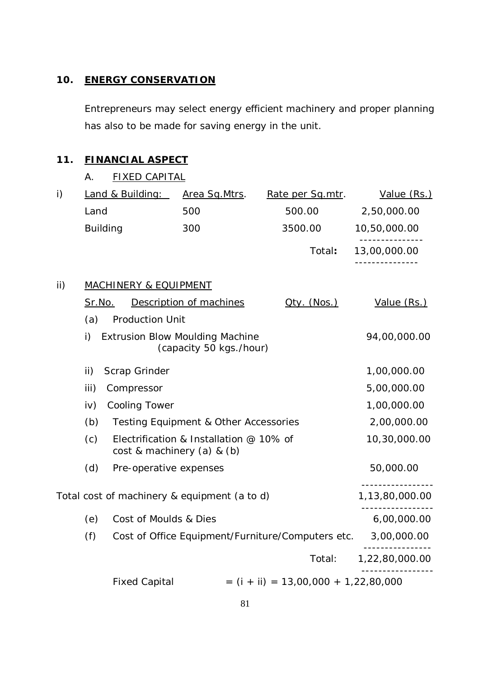# **10. ENERGY CONSERVATION**

Entrepreneurs may select energy efficient machinery and proper planning has also to be made for saving energy in the unit.

# **11. FINANCIAL ASPECT**

|  | <b>FIXED CAPITAL</b> |
|--|----------------------|
|  |                      |

| $\mathsf{i}$ |                 | Land & Building:                 | Area Sq. Mtrs.                                                    | Rate per Sq.mtr.                                  | Value (Rs.)    |
|--------------|-----------------|----------------------------------|-------------------------------------------------------------------|---------------------------------------------------|----------------|
|              | Land            |                                  | 500                                                               | 500.00                                            | 2,50,000.00    |
|              | <b>Building</b> |                                  | 300                                                               | 3500.00                                           | 10,50,000.00   |
|              |                 |                                  |                                                                   | Total:                                            | 13,00,000.00   |
| ii)          |                 | <b>MACHINERY &amp; EQUIPMENT</b> |                                                                   |                                                   |                |
|              | <u>Sr.No.</u>   |                                  | Description of machines                                           | $Qty.$ (Nos.)                                     | Value (Rs.)    |
|              | (a)             | <b>Production Unit</b>           |                                                                   |                                                   |                |
|              | i)              |                                  | <b>Extrusion Blow Moulding Machine</b><br>(capacity 50 kgs./hour) |                                                   | 94,00,000.00   |
|              | ii)             | Scrap Grinder                    |                                                                   |                                                   | 1,00,000.00    |
|              | iii)            | Compressor                       |                                                                   |                                                   | 5,00,000.00    |
|              | iv)             | <b>Cooling Tower</b>             |                                                                   |                                                   | 1,00,000.00    |
|              | (b)             |                                  | Testing Equipment & Other Accessories                             |                                                   | 2,00,000.00    |
|              | (c)             | cost & machinery (a) & (b)       | Electrification & Installation @ 10% of                           |                                                   | 10,30,000.00   |
|              | (d)             | Pre-operative expenses           |                                                                   |                                                   | 50,000.00      |
|              |                 |                                  | Total cost of machinery & equipment (a to d)                      |                                                   | 1,13,80,000.00 |
|              | (e)             | Cost of Moulds & Dies            |                                                                   |                                                   | 6,00,000.00    |
|              | (f)             |                                  |                                                                   | Cost of Office Equipment/Furniture/Computers etc. | 3,00,000.00    |
|              |                 |                                  |                                                                   | Total:                                            | 1,22,80,000.00 |
|              |                 | <b>Fixed Capital</b>             |                                                                   | $=$ (i + ii) = 13,00,000 + 1,22,80,000            |                |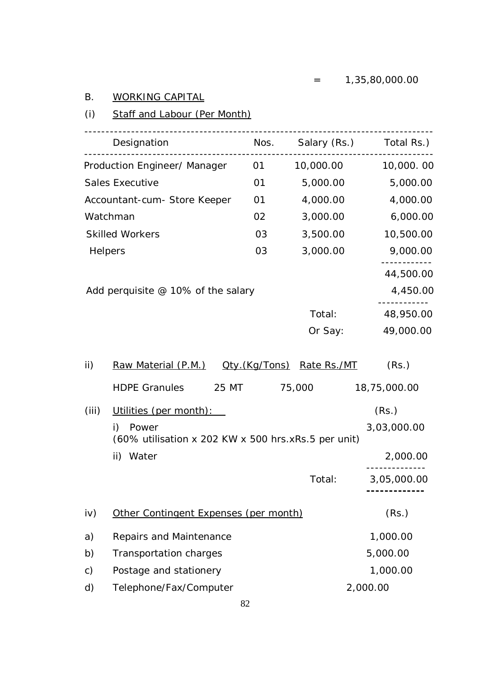# B. WORKING CAPITAL

# (i) Staff and Labour (Per Month)

|               | Designation                                                        |                       |             | Nos. Salary (Rs.) Total Rs.) |
|---------------|--------------------------------------------------------------------|-----------------------|-------------|------------------------------|
|               | Production Engineer/ Manager                                       | 01                    | 10,000.00   | 10,000.00                    |
|               | <b>Sales Executive</b>                                             | 01                    | 5,000.00    | 5,000.00                     |
|               | Accountant-cum- Store Keeper                                       | 01                    | 4,000.00    | 4,000.00                     |
|               | Watchman                                                           | 02                    | 3,000.00    | 6,000.00                     |
|               | <b>Skilled Workers</b>                                             | 03                    | 3,500.00    | 10,500.00                    |
|               | Helpers                                                            | 03                    | 3,000.00    | 9,000.00                     |
|               |                                                                    |                       |             | 44,500.00                    |
|               | Add perquisite $@$ 10% of the salary                               |                       |             | 4,450.00                     |
|               |                                                                    |                       | Total:      | 48,950.00                    |
|               |                                                                    |                       | Or Say:     | 49,000.00                    |
| ii)           | Raw Material (P.M.)                                                | <u> Qty.(Kg/Tons)</u> | Rate Rs./MT | (Rs.)                        |
|               | 25 MT<br><b>HDPE Granules</b>                                      |                       | 75,000      | 18,75,000.00                 |
| (iii)         | Utilities (per month):                                             |                       |             | (Rs.)                        |
|               | i)<br>Power<br>(60% utilisation x 202 KW x 500 hrs.xRs.5 per unit) |                       |             | 3,03,000.00                  |
|               | Water<br>ii)                                                       |                       |             | 2,000.00                     |
|               |                                                                    |                       | Total:      | 3,05,000.00                  |
| iv)           | Other Contingent Expenses (per month)                              |                       |             | (Rs.)                        |
| a)            | Repairs and Maintenance                                            |                       |             | 1,000.00                     |
| b)            | <b>Transportation charges</b>                                      |                       |             | 5,000.00                     |
| $\mathsf{c})$ | Postage and stationery                                             |                       |             | 1,000.00                     |
| d)            | Telephone/Fax/Computer                                             |                       |             | 2,000.00                     |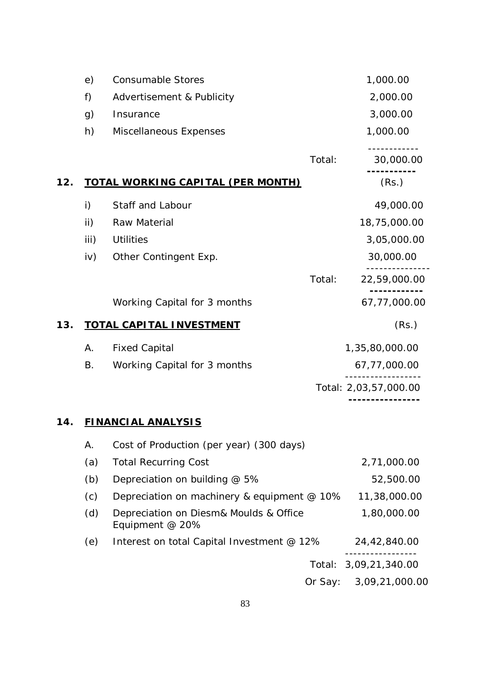|     | e)   | <b>Consumable Stores</b>                 |        | 1,000.00              |
|-----|------|------------------------------------------|--------|-----------------------|
|     | f)   | Advertisement & Publicity                |        | 2,000.00              |
|     | g)   | Insurance                                |        | 3,000.00              |
|     | h)   | Miscellaneous Expenses                   |        | 1,000.00              |
|     |      |                                          | Total: | 30,000.00             |
| 12. |      | <b>TOTAL WORKING CAPITAL (PER MONTH)</b> |        | (Rs.)                 |
|     | i)   | Staff and Labour                         |        | 49,000.00             |
|     | ii)  | Raw Material                             |        | 18,75,000.00          |
|     | iii) | <b>Utilities</b>                         |        | 3,05,000.00           |
|     | iv)  | Other Contingent Exp.                    |        | 30,000.00             |
|     |      |                                          | Total: | 22,59,000.00          |
|     |      | Working Capital for 3 months             |        | 67,77,000.00          |
| 13. |      | <b>TOTAL CAPITAL INVESTMENT</b>          |        | (Rs.)                 |
|     | Α.   | <b>Fixed Capital</b>                     |        | 1,35,80,000.00        |
|     | B.   | Working Capital for 3 months             |        | 67,77,000.00          |
|     |      |                                          |        | Total: 2,03,57,000.00 |
|     |      |                                          |        |                       |

# **14. FINANCIAL ANALYSIS**

| Α.  | Cost of Production (per year) (300 days)                  |                       |
|-----|-----------------------------------------------------------|-----------------------|
| (a) | <b>Total Recurring Cost</b>                               | 2,71,000.00           |
| (b) | Depreciation on building @ 5%                             | 52,500.00             |
| (c) | Depreciation on machinery & equipment @ 10%               | 11,38,000.00          |
| (d) | Depreciation on Diesm& Moulds & Office<br>Equipment @ 20% | 1,80,000.00           |
| (e) | Interest on total Capital Investment @ 12%                | 24,42,840.00          |
|     |                                                           | Total: 3,09,21,340.00 |
|     | Or Say:                                                   | 3,09,21,000.00        |
|     |                                                           |                       |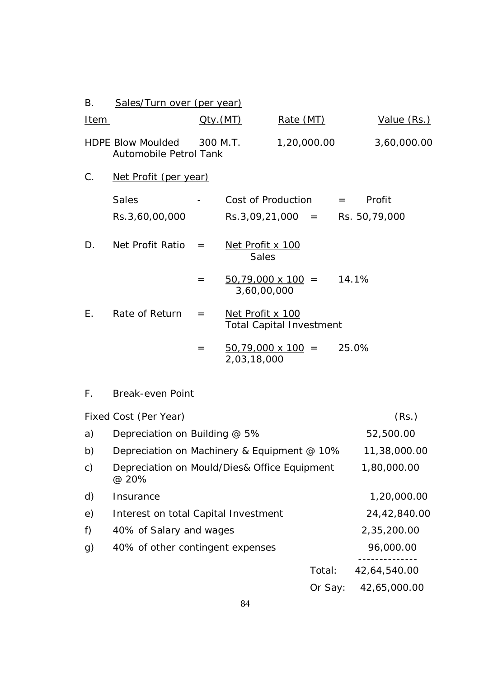| В.           | Sales/Turn over (per year)                                |              |                                                     |             |         |       |              |
|--------------|-----------------------------------------------------------|--------------|-----------------------------------------------------|-------------|---------|-------|--------------|
| <u>Item</u>  |                                                           | $Q$ ty. (MT) |                                                     | Rate (MT)   |         |       | Value (Rs.)  |
|              | <b>HDPE Blow Moulded</b><br><b>Automobile Petrol Tank</b> | 300 M.T.     |                                                     | 1,20,000.00 |         |       | 3,60,000.00  |
| C.           | Net Profit (per year)                                     |              |                                                     |             |         |       |              |
|              | <b>Sales</b>                                              |              | Cost of Production                                  |             |         | $=$   | Profit       |
|              | Rs.3,60,00,000                                            |              | $Rs.3,09,21,000 = Rs.50,79,000$                     |             |         |       |              |
| D.           | Net Profit Ratio                                          | $=$          | Net Profit x 100<br><b>Sales</b>                    |             |         |       |              |
|              |                                                           | $=$          | $\frac{50,79,000 \times 100}{ }$ =<br>3,60,00,000   |             |         | 14.1% |              |
| E.           | Rate of Return                                            | $=$          | Net Profit x 100<br><b>Total Capital Investment</b> |             |         |       |              |
|              |                                                           | $=$          | $\frac{50,79,000 \times 100}{ }$ =<br>2,03,18,000   |             |         | 25.0% |              |
| $F_{\rm{H}}$ | <b>Break-even Point</b>                                   |              |                                                     |             |         |       |              |
|              | Fixed Cost (Per Year)                                     |              |                                                     |             |         |       | (Rs.)        |
| a)           | Depreciation on Building @ 5%                             |              |                                                     |             |         |       | 52,500.00    |
| b)           | Depreciation on Machinery & Equipment @ 10%               |              |                                                     |             |         |       | 11,38,000.00 |
| C)           | Depreciation on Mould/Dies& Office Equipment<br>@ 20%     |              |                                                     |             |         |       | 1,80,000.00  |
| d)           | Insurance                                                 |              |                                                     |             |         |       | 1,20,000.00  |
| e)           | Interest on total Capital Investment                      |              |                                                     |             |         |       | 24,42,840.00 |
| f)           | 40% of Salary and wages                                   |              |                                                     |             |         |       | 2,35,200.00  |
| g)           | 40% of other contingent expenses                          |              |                                                     |             |         |       | 96,000.00    |
|              |                                                           |              |                                                     |             | Total:  |       | 42,64,540.00 |
|              |                                                           |              |                                                     |             | Or Say: |       | 42,65,000.00 |